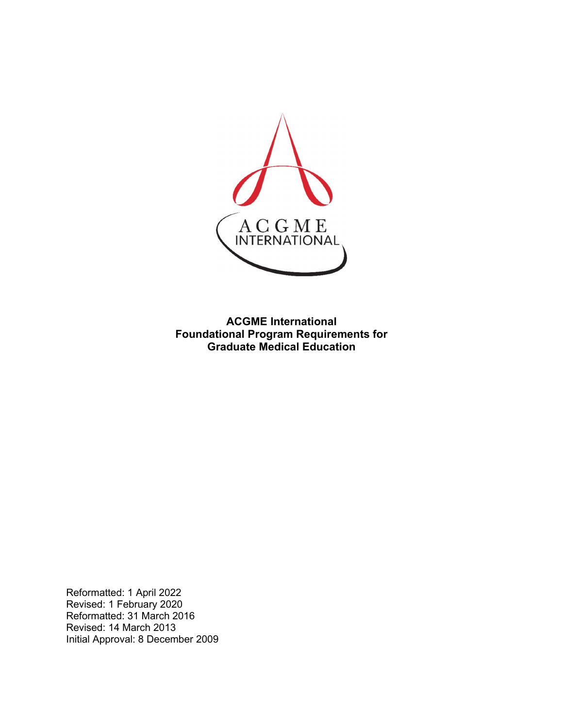

**ACGME International Foundational Program Requirements for Graduate Medical Education**

Reformatted: 1 April 2022 Revised: 1 February 2020 Reformatted: 31 March 2016 Revised: 14 March 2013 Initial Approval: 8 December 2009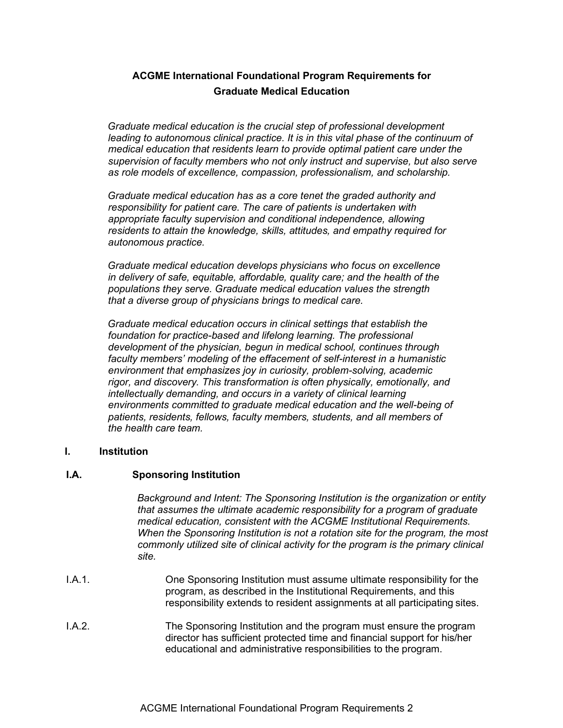# **ACGME International Foundational Program Requirements for Graduate Medical Education**

*Graduate medical education is the crucial step of professional development leading to autonomous clinical practice. It is in this vital phase of the continuum of medical education that residents learn to provide optimal patient care under the supervision of faculty members who not only instruct and supervise, but also serve as role models of excellence, compassion, professionalism, and scholarship.*

*Graduate medical education has as a core tenet the graded authority and responsibility for patient care. The care of patients is undertaken with appropriate faculty supervision and conditional independence, allowing residents to attain the knowledge, skills, attitudes, and empathy required for autonomous practice.*

*Graduate medical education develops physicians who focus on excellence in delivery of safe, equitable, affordable, quality care; and the health of the populations they serve. Graduate medical education values the strength that a diverse group of physicians brings to medical care.*

*Graduate medical education occurs in clinical settings that establish the foundation for practice-based and lifelong learning. The professional development of the physician, begun in medical school, continues through faculty members' modeling of the effacement of self-interest in a humanistic environment that emphasizes joy in curiosity, problem-solving, academic rigor, and discovery. This transformation is often physically, emotionally, and intellectually demanding, and occurs in a variety of clinical learning environments committed to graduate medical education and the well-being of patients, residents, fellows, faculty members, students, and all members of the health care team.*

#### **I. Institution**

#### **I.A. Sponsoring Institution**

*Background and Intent: The Sponsoring Institution is the organization or entity that assumes the ultimate academic responsibility for a program of graduate medical education, consistent with the ACGME Institutional Requirements. When the Sponsoring Institution is not a rotation site for the program, the most commonly utilized site of clinical activity for the program is the primary clinical site.*

- I.A.1. One Sponsoring Institution must assume ultimate responsibility for the program, as described in the Institutional Requirements, and this responsibility extends to resident assignments at all participating sites.
- I.A.2. The Sponsoring Institution and the program must ensure the program director has sufficient protected time and financial support for his/her educational and administrative responsibilities to the program.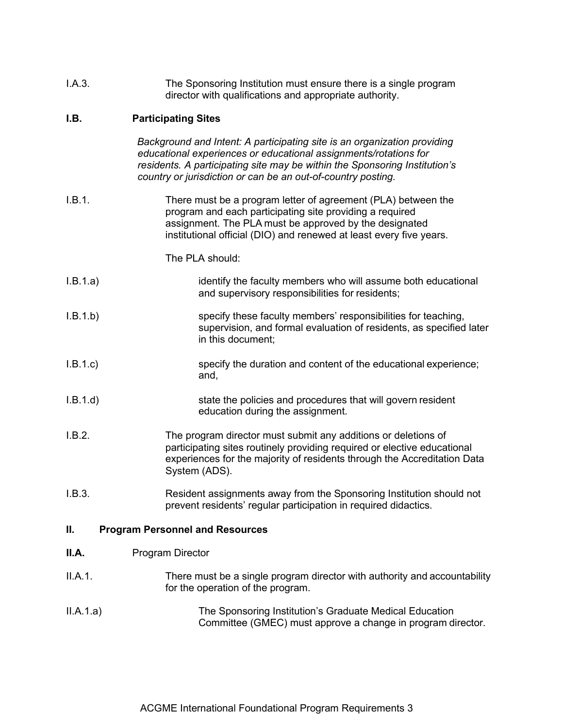| I.A.3. | The Sponsoring Institution must ensure there is a single program |
|--------|------------------------------------------------------------------|
|        | director with qualifications and appropriate authority.          |

# **I.B. Participating Sites**

|          | Background and Intent: A participating site is an organization providing<br>educational experiences or educational assignments/rotations for<br>residents. A participating site may be within the Sponsoring Institution's<br>country or jurisdiction or can be an out-of-country posting. |
|----------|--------------------------------------------------------------------------------------------------------------------------------------------------------------------------------------------------------------------------------------------------------------------------------------------|
| I.B.1.   | There must be a program letter of agreement (PLA) between the<br>program and each participating site providing a required<br>assignment. The PLA must be approved by the designated<br>institutional official (DIO) and renewed at least every five years.                                 |
|          | The PLA should:                                                                                                                                                                                                                                                                            |
| I.B.1.a) | identify the faculty members who will assume both educational<br>and supervisory responsibilities for residents;                                                                                                                                                                           |
| I.B.1.b) | specify these faculty members' responsibilities for teaching,<br>supervision, and formal evaluation of residents, as specified later<br>in this document;                                                                                                                                  |
| I.B.1.c  | specify the duration and content of the educational experience;<br>and,                                                                                                                                                                                                                    |
| I.B.1.d) | state the policies and procedures that will govern resident<br>education during the assignment.                                                                                                                                                                                            |
| I.B.2.   | The program director must submit any additions or deletions of<br>participating sites routinely providing required or elective educational<br>experiences for the majority of residents through the Accreditation Data<br>System (ADS).                                                    |
| I.B.3.   | Resident assignments away from the Sponsoring Institution should not<br>prevent residents' regular participation in required didactics.                                                                                                                                                    |
| Ш.       | <b>Program Personnel and Resources</b>                                                                                                                                                                                                                                                     |
| II.A.    | <b>Program Director</b>                                                                                                                                                                                                                                                                    |
| II.A.1.  | There must be a single program director with authority and accountability                                                                                                                                                                                                                  |

II.A.1.a) The Sponsoring Institution's Graduate Medical Education Committee (GMEC) must approve a change in program director.

for the operation of the program.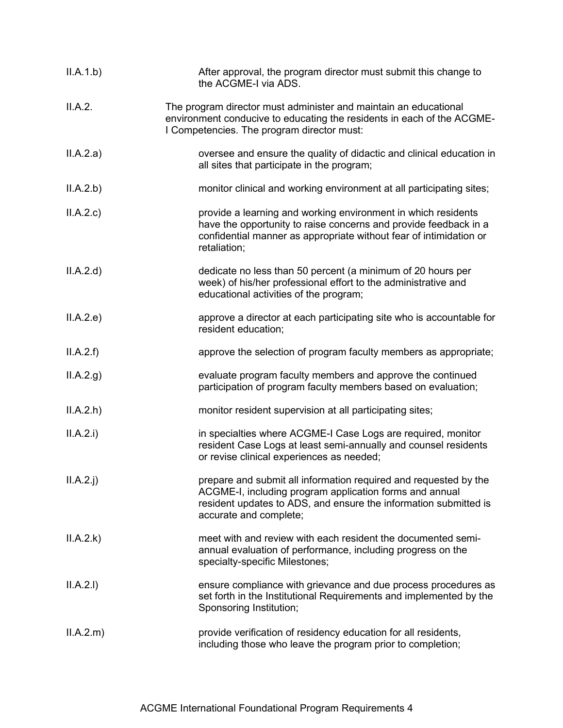| II.A.1.b)   | After approval, the program director must submit this change to<br>the ACGME-I via ADS.                                                                                                                                   |
|-------------|---------------------------------------------------------------------------------------------------------------------------------------------------------------------------------------------------------------------------|
| II.A.2.     | The program director must administer and maintain an educational<br>environment conducive to educating the residents in each of the ACGME-<br>I Competencies. The program director must:                                  |
| II.A.2.a)   | oversee and ensure the quality of didactic and clinical education in<br>all sites that participate in the program;                                                                                                        |
| II.A.2.b)   | monitor clinical and working environment at all participating sites;                                                                                                                                                      |
| II.A.2.c    | provide a learning and working environment in which residents<br>have the opportunity to raise concerns and provide feedback in a<br>confidential manner as appropriate without fear of intimidation or<br>retaliation;   |
| II.A.2.d    | dedicate no less than 50 percent (a minimum of 20 hours per<br>week) of his/her professional effort to the administrative and<br>educational activities of the program;                                                   |
| II.A.2.e)   | approve a director at each participating site who is accountable for<br>resident education;                                                                                                                               |
| II.A.2.f    | approve the selection of program faculty members as appropriate;                                                                                                                                                          |
| ILA.2.g)    | evaluate program faculty members and approve the continued<br>participation of program faculty members based on evaluation;                                                                                               |
| II.A.2.h    | monitor resident supervision at all participating sites;                                                                                                                                                                  |
| II.A.2.i)   | in specialties where ACGME-I Case Logs are required, monitor<br>resident Case Logs at least semi-annually and counsel residents<br>or revise clinical experiences as needed;                                              |
| $II.A.2.$ j | prepare and submit all information required and requested by the<br>ACGME-I, including program application forms and annual<br>resident updates to ADS, and ensure the information submitted is<br>accurate and complete; |
| II.A.2.k)   | meet with and review with each resident the documented semi-<br>annual evaluation of performance, including progress on the<br>specialty-specific Milestones;                                                             |
| II.A.2.I)   | ensure compliance with grievance and due process procedures as<br>set forth in the Institutional Requirements and implemented by the<br>Sponsoring Institution;                                                           |
| ILA.2.m)    | provide verification of residency education for all residents,<br>including those who leave the program prior to completion;                                                                                              |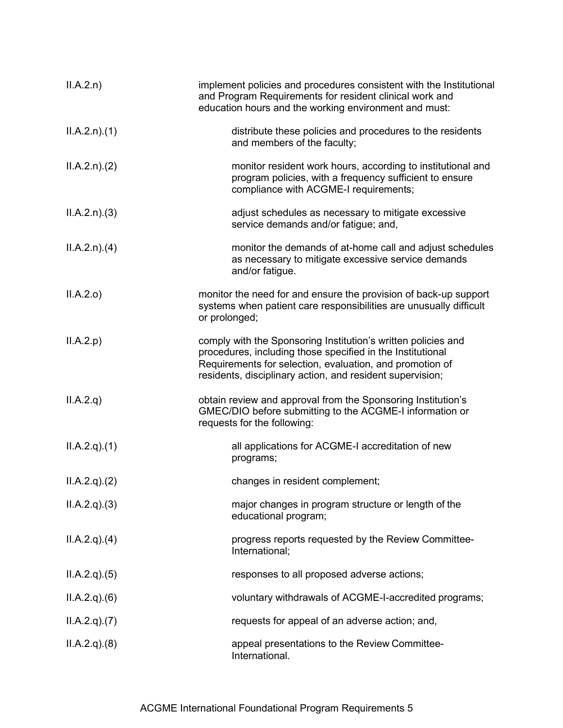| ILA.2.n)     | implement policies and procedures consistent with the Institutional<br>and Program Requirements for resident clinical work and<br>education hours and the working environment and must:                                                              |
|--------------|------------------------------------------------------------------------------------------------------------------------------------------------------------------------------------------------------------------------------------------------------|
| ILA.2.n)(1)  | distribute these policies and procedures to the residents<br>and members of the faculty;                                                                                                                                                             |
| ILA.2.n. (2) | monitor resident work hours, according to institutional and<br>program policies, with a frequency sufficient to ensure<br>compliance with ACGME-I requirements;                                                                                      |
| ILA.2.n)(3)  | adjust schedules as necessary to mitigate excessive<br>service demands and/or fatigue; and,                                                                                                                                                          |
| ILA.2.n)(4)  | monitor the demands of at-home call and adjust schedules<br>as necessary to mitigate excessive service demands<br>and/or fatigue.                                                                                                                    |
| II.A.2.o     | monitor the need for and ensure the provision of back-up support<br>systems when patient care responsibilities are unusually difficult<br>or prolonged;                                                                                              |
| II.A.2.p     | comply with the Sponsoring Institution's written policies and<br>procedures, including those specified in the Institutional<br>Requirements for selection, evaluation, and promotion of<br>residents, disciplinary action, and resident supervision; |
| ILA.2.q)     | obtain review and approval from the Sponsoring Institution's<br>GMEC/DIO before submitting to the ACGME-I information or<br>requests for the following:                                                                                              |
| ILA.2.q)(1)  | all applications for ACGME-I accreditation of new<br>programs;                                                                                                                                                                                       |
| ILA.2.q)(2)  | changes in resident complement;                                                                                                                                                                                                                      |
| ILA.2.q)(3)  | major changes in program structure or length of the<br>educational program;                                                                                                                                                                          |
| ILA.2.q)(4)  | progress reports requested by the Review Committee-<br>International;                                                                                                                                                                                |
| ILA.2.q)(5)  | responses to all proposed adverse actions;                                                                                                                                                                                                           |
| ILA.2.q)(6)  | voluntary withdrawals of ACGME-I-accredited programs;                                                                                                                                                                                                |
| ILA.2.q)(7)  | requests for appeal of an adverse action; and,                                                                                                                                                                                                       |
| ILA.2.q)(8)  | appeal presentations to the Review Committee-<br>International.                                                                                                                                                                                      |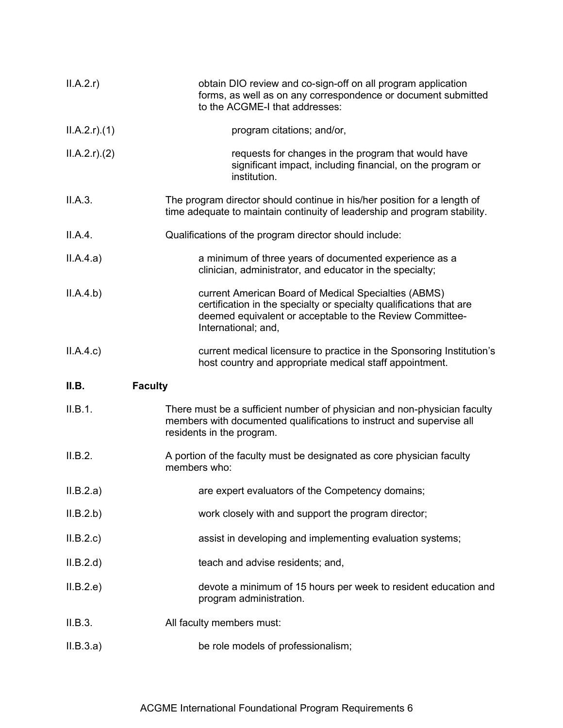| II.A.2.r)       | obtain DIO review and co-sign-off on all program application<br>forms, as well as on any correspondence or document submitted<br>to the ACGME-I that addresses:                                                |
|-----------------|----------------------------------------------------------------------------------------------------------------------------------------------------------------------------------------------------------------|
| $ILA.2.r$ $(1)$ | program citations; and/or,                                                                                                                                                                                     |
| $ILA.2.r$ $(2)$ | requests for changes in the program that would have<br>significant impact, including financial, on the program or<br>institution.                                                                              |
| II.A.3.         | The program director should continue in his/her position for a length of<br>time adequate to maintain continuity of leadership and program stability.                                                          |
| II.A.4.         | Qualifications of the program director should include:                                                                                                                                                         |
| II.A.4.a)       | a minimum of three years of documented experience as a<br>clinician, administrator, and educator in the specialty;                                                                                             |
| II.A.4.b)       | current American Board of Medical Specialties (ABMS)<br>certification in the specialty or specialty qualifications that are<br>deemed equivalent or acceptable to the Review Committee-<br>International; and, |
| ILA.4.c)        | current medical licensure to practice in the Sponsoring Institution's<br>host country and appropriate medical staff appointment.                                                                               |
| II.B.           | <b>Faculty</b>                                                                                                                                                                                                 |
| II.B.1.         | There must be a sufficient number of physician and non-physician faculty<br>members with documented qualifications to instruct and supervise all<br>residents in the program.                                  |
| II.B.2.         | A portion of the faculty must be designated as core physician faculty<br>members who:                                                                                                                          |
| II.B.2.a)       |                                                                                                                                                                                                                |
|                 | are expert evaluators of the Competency domains;                                                                                                                                                               |
| II.B.2.b)       | work closely with and support the program director;                                                                                                                                                            |
| II.B.2.c        | assist in developing and implementing evaluation systems;                                                                                                                                                      |
| II.B.2.d        | teach and advise residents; and,                                                                                                                                                                               |
| II.B.2.e)       | devote a minimum of 15 hours per week to resident education and<br>program administration.                                                                                                                     |
| II.B.3.         | All faculty members must:                                                                                                                                                                                      |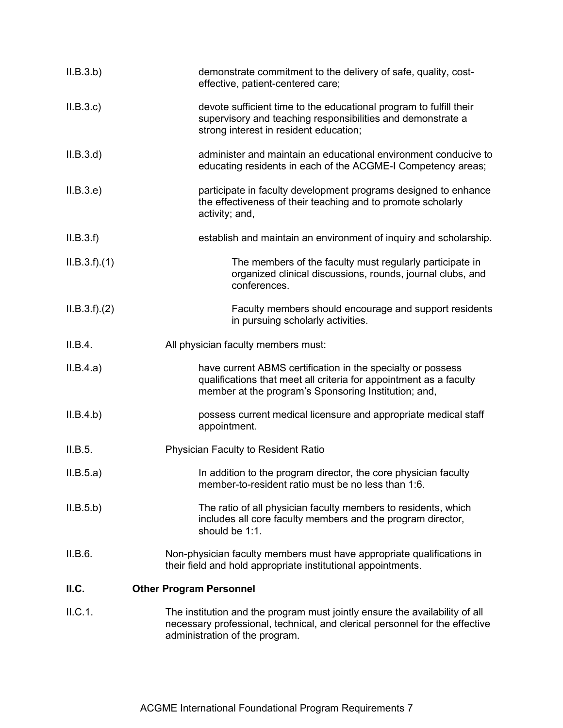| ILB.3.b)      | demonstrate commitment to the delivery of safe, quality, cost-<br>effective, patient-centered care;                                                                                          |
|---------------|----------------------------------------------------------------------------------------------------------------------------------------------------------------------------------------------|
| II.B.3.c      | devote sufficient time to the educational program to fulfill their<br>supervisory and teaching responsibilities and demonstrate a<br>strong interest in resident education;                  |
| ILB.3.d)      | administer and maintain an educational environment conducive to<br>educating residents in each of the ACGME-I Competency areas;                                                              |
| II.B.3.e)     | participate in faculty development programs designed to enhance<br>the effectiveness of their teaching and to promote scholarly<br>activity; and,                                            |
| II.B.3.f      | establish and maintain an environment of inquiry and scholarship.                                                                                                                            |
| ILB.3.f).(1)  | The members of the faculty must regularly participate in<br>organized clinical discussions, rounds, journal clubs, and<br>conferences.                                                       |
| ILB.3.f). (2) | Faculty members should encourage and support residents<br>in pursuing scholarly activities.                                                                                                  |
| II.B.4.       | All physician faculty members must:                                                                                                                                                          |
| II.B.4.a)     | have current ABMS certification in the specialty or possess<br>qualifications that meet all criteria for appointment as a faculty<br>member at the program's Sponsoring Institution; and,    |
| II.B.4.b)     | possess current medical licensure and appropriate medical staff<br>appointment.                                                                                                              |
| II.B.5.       | Physician Faculty to Resident Ratio                                                                                                                                                          |
| II.B.5.a)     | In addition to the program director, the core physician faculty<br>member-to-resident ratio must be no less than 1:6.                                                                        |
| II.B.5.b)     | The ratio of all physician faculty members to residents, which<br>includes all core faculty members and the program director,<br>should be 1:1.                                              |
| II.B.6.       | Non-physician faculty members must have appropriate qualifications in<br>their field and hold appropriate institutional appointments.                                                        |
| II.C.         | <b>Other Program Personnel</b>                                                                                                                                                               |
| II.C.1.       | The institution and the program must jointly ensure the availability of all<br>necessary professional, technical, and clerical personnel for the effective<br>administration of the program. |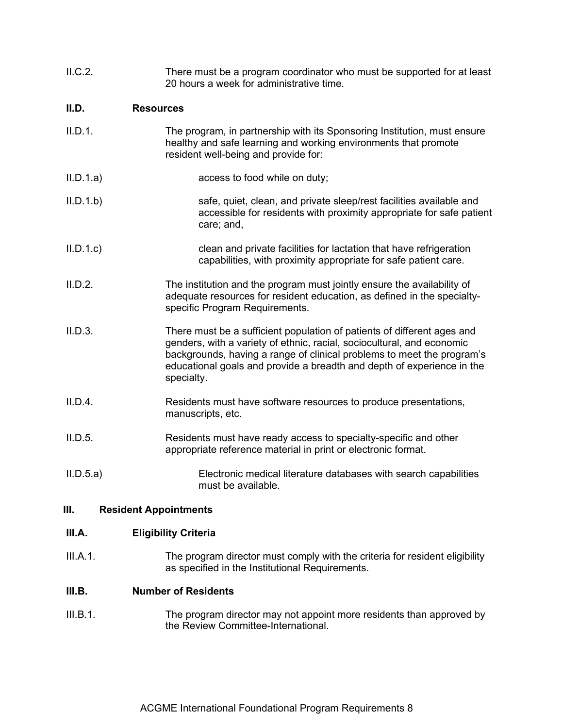| II.C.2.   | There must be a program coordinator who must be supported for at least<br>20 hours a week for administrative time.                                                                                                                                                                                                  |
|-----------|---------------------------------------------------------------------------------------------------------------------------------------------------------------------------------------------------------------------------------------------------------------------------------------------------------------------|
| II.D.     | <b>Resources</b>                                                                                                                                                                                                                                                                                                    |
| II.D.1.   | The program, in partnership with its Sponsoring Institution, must ensure<br>healthy and safe learning and working environments that promote<br>resident well-being and provide for:                                                                                                                                 |
| II.D.1.a) | access to food while on duty;                                                                                                                                                                                                                                                                                       |
| II.D.1.b  | safe, quiet, clean, and private sleep/rest facilities available and<br>accessible for residents with proximity appropriate for safe patient<br>care; and,                                                                                                                                                           |
| II.D.1.c  | clean and private facilities for lactation that have refrigeration<br>capabilities, with proximity appropriate for safe patient care.                                                                                                                                                                               |
| II.D.2.   | The institution and the program must jointly ensure the availability of<br>adequate resources for resident education, as defined in the specialty-<br>specific Program Requirements.                                                                                                                                |
| II.D.3.   | There must be a sufficient population of patients of different ages and<br>genders, with a variety of ethnic, racial, sociocultural, and economic<br>backgrounds, having a range of clinical problems to meet the program's<br>educational goals and provide a breadth and depth of experience in the<br>specialty. |
| II.D.4.   | Residents must have software resources to produce presentations,<br>manuscripts, etc.                                                                                                                                                                                                                               |
| II.D.5.   | Residents must have ready access to specialty-specific and other<br>appropriate reference material in print or electronic format.                                                                                                                                                                                   |
| II.D.5.a) | Electronic medical literature databases with search capabilities<br>must be available.                                                                                                                                                                                                                              |
| Ш.        | <b>Resident Appointments</b>                                                                                                                                                                                                                                                                                        |

# **III.A. Eligibility Criteria**

III.A.1. The program director must comply with the criteria for resident eligibility as specified in the Institutional Requirements.

# **III.B. Number of Residents**

III.B.1. The program director may not appoint more residents than approved by the Review Committee-International.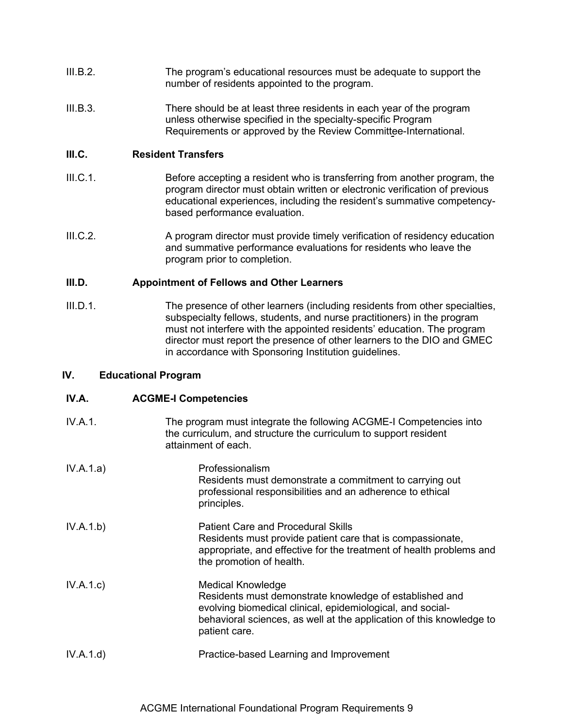- III.B.2. The program's educational resources must be adequate to support the number of residents appointed to the program.
- III.B.3. There should be at least three residents in each year of the program unless otherwise specified in the specialty-specific Program Requirements or approved by the Review Committee-International.

## **III.C. Resident Transfers**

- III.C.1. Before accepting a resident who is transferring from another program, the program director must obtain written or electronic verification of previous educational experiences, including the resident's summative competencybased performance evaluation.
- III.C.2. A program director must provide timely verification of residency education and summative performance evaluations for residents who leave the program prior to completion.

### **III.D. Appointment of Fellows and Other Learners**

III.D.1. The presence of other learners (including residents from other specialties, subspecialty fellows, students, and nurse practitioners) in the program must not interfere with the appointed residents' education. The program director must report the presence of other learners to the DIO and GMEC in accordance with Sponsoring Institution guidelines.

## **IV. Educational Program**

## **IV.A. ACGME-I Competencies**

| IV.A.1.   | The program must integrate the following ACGME-I Competencies into<br>the curriculum, and structure the curriculum to support resident<br>attainment of each.                                                                              |
|-----------|--------------------------------------------------------------------------------------------------------------------------------------------------------------------------------------------------------------------------------------------|
| IV.A.1.a) | Professionalism<br>Residents must demonstrate a commitment to carrying out<br>professional responsibilities and an adherence to ethical<br>principles.                                                                                     |
| IV.A.1.b) | <b>Patient Care and Procedural Skills</b><br>Residents must provide patient care that is compassionate,<br>appropriate, and effective for the treatment of health problems and<br>the promotion of health.                                 |
| IV.A.1.c) | <b>Medical Knowledge</b><br>Residents must demonstrate knowledge of established and<br>evolving biomedical clinical, epidemiological, and social-<br>behavioral sciences, as well at the application of this knowledge to<br>patient care. |
| IV.A.1.d) | Practice-based Learning and Improvement                                                                                                                                                                                                    |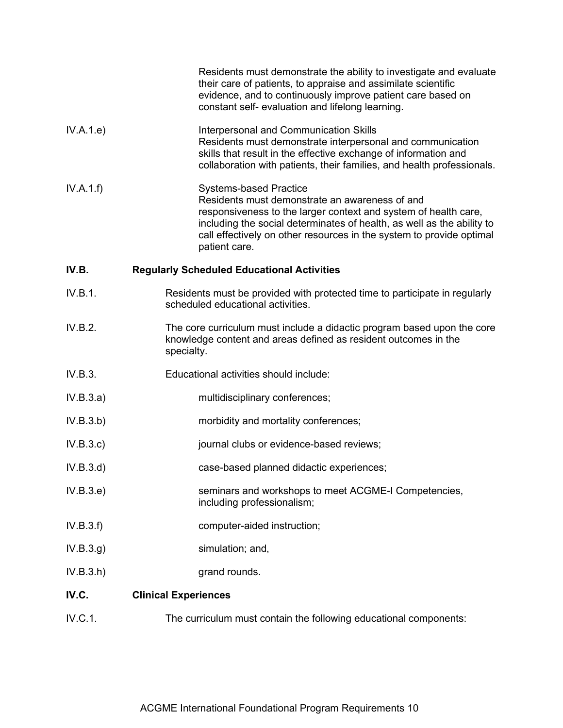| IV.C.<br>IV.C.1. | <b>Clinical Experiences</b><br>The curriculum must contain the following educational components:                                                                                                                                                                                                                      |
|------------------|-----------------------------------------------------------------------------------------------------------------------------------------------------------------------------------------------------------------------------------------------------------------------------------------------------------------------|
| IV.B.3.h)        | grand rounds.                                                                                                                                                                                                                                                                                                         |
| IV.B.3.g)        | simulation; and,                                                                                                                                                                                                                                                                                                      |
| IV.B.3.f)        | computer-aided instruction;                                                                                                                                                                                                                                                                                           |
| IV.B.3.e)        | seminars and workshops to meet ACGME-I Competencies,<br>including professionalism;                                                                                                                                                                                                                                    |
| IV.B.3.d)        | case-based planned didactic experiences;                                                                                                                                                                                                                                                                              |
| IV.B.3.c)        | journal clubs or evidence-based reviews;                                                                                                                                                                                                                                                                              |
| IV.B.3.b)        | morbidity and mortality conferences;                                                                                                                                                                                                                                                                                  |
| IV.B.3.a)        | multidisciplinary conferences;                                                                                                                                                                                                                                                                                        |
| IV.B.3.          | Educational activities should include:                                                                                                                                                                                                                                                                                |
| IV.B.2.          | The core curriculum must include a didactic program based upon the core<br>knowledge content and areas defined as resident outcomes in the<br>specialty.                                                                                                                                                              |
| IV.B.1.          | Residents must be provided with protected time to participate in regularly<br>scheduled educational activities.                                                                                                                                                                                                       |
| IV.B.            | <b>Regularly Scheduled Educational Activities</b>                                                                                                                                                                                                                                                                     |
| IV.A.1.f)        | <b>Systems-based Practice</b><br>Residents must demonstrate an awareness of and<br>responsiveness to the larger context and system of health care,<br>including the social determinates of health, as well as the ability to<br>call effectively on other resources in the system to provide optimal<br>patient care. |
| IV.A.1.e)        | Interpersonal and Communication Skills<br>Residents must demonstrate interpersonal and communication<br>skills that result in the effective exchange of information and<br>collaboration with patients, their families, and health professionals.                                                                     |
|                  | Residents must demonstrate the ability to investigate and evaluate<br>their care of patients, to appraise and assimilate scientific<br>evidence, and to continuously improve patient care based on<br>constant self- evaluation and lifelong learning.                                                                |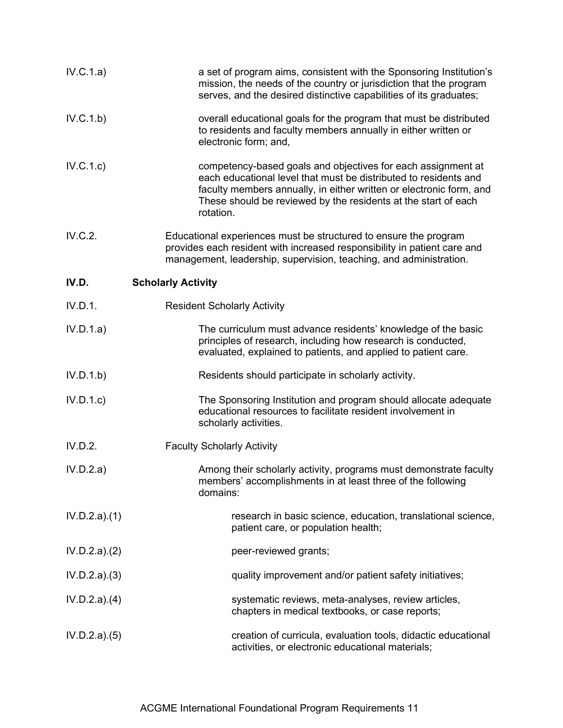| IV.C.1.a)    | a set of program aims, consistent with the Sponsoring Institution's<br>mission, the needs of the country or jurisdiction that the program<br>serves, and the desired distinctive capabilities of its graduates;                                                                        |
|--------------|----------------------------------------------------------------------------------------------------------------------------------------------------------------------------------------------------------------------------------------------------------------------------------------|
| IV.C.1.b)    | overall educational goals for the program that must be distributed<br>to residents and faculty members annually in either written or<br>electronic form; and,                                                                                                                          |
| IV.C.1.c     | competency-based goals and objectives for each assignment at<br>each educational level that must be distributed to residents and<br>faculty members annually, in either written or electronic form, and<br>These should be reviewed by the residents at the start of each<br>rotation. |
| IV.C.2.      | Educational experiences must be structured to ensure the program<br>provides each resident with increased responsibility in patient care and<br>management, leadership, supervision, teaching, and administration.                                                                     |
| IV.D.        | <b>Scholarly Activity</b>                                                                                                                                                                                                                                                              |
| IV.D.1.      | <b>Resident Scholarly Activity</b>                                                                                                                                                                                                                                                     |
| IV.D.1.a)    | The curriculum must advance residents' knowledge of the basic<br>principles of research, including how research is conducted,<br>evaluated, explained to patients, and applied to patient care.                                                                                        |
| IV.D.1.b)    | Residents should participate in scholarly activity.                                                                                                                                                                                                                                    |
| IV.D.1.c     | The Sponsoring Institution and program should allocate adequate<br>educational resources to facilitate resident involvement in<br>scholarly activities.                                                                                                                                |
| IV.D.2.      | <b>Faculty Scholarly Activity</b>                                                                                                                                                                                                                                                      |
| IV.D.2.a)    | Among their scholarly activity, programs must demonstrate faculty<br>members' accomplishments in at least three of the following<br>domains:                                                                                                                                           |
| IV.D.2.a)(1) | research in basic science, education, translational science,<br>patient care, or population health;                                                                                                                                                                                    |
| IV.D.2.a)(2) | peer-reviewed grants;                                                                                                                                                                                                                                                                  |
| IV.D.2.a)(3) | quality improvement and/or patient safety initiatives;                                                                                                                                                                                                                                 |
| IV.D.2.a)(4) | systematic reviews, meta-analyses, review articles,<br>chapters in medical textbooks, or case reports;                                                                                                                                                                                 |
| IV.D.2.a)(5) | creation of curricula, evaluation tools, didactic educational<br>activities, or electronic educational materials;                                                                                                                                                                      |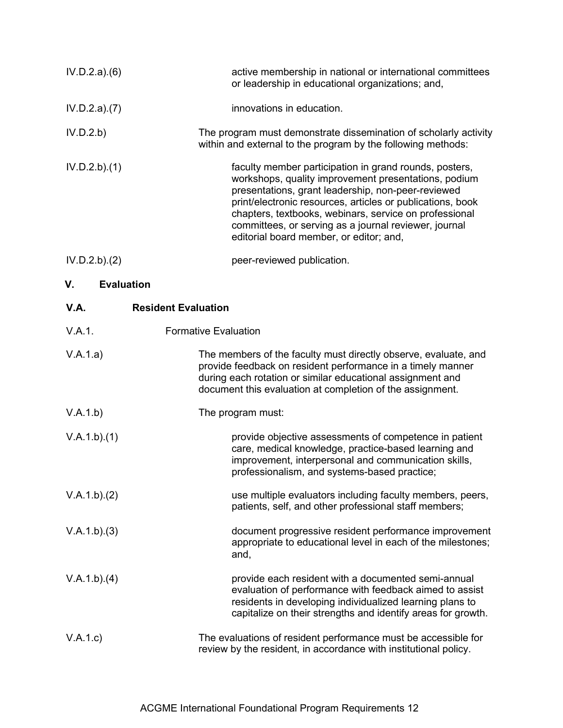| IV.D.2.a)(6)            | active membership in national or international committees<br>or leadership in educational organizations; and,                                                                                                                                                                                                                                                                                    |
|-------------------------|--------------------------------------------------------------------------------------------------------------------------------------------------------------------------------------------------------------------------------------------------------------------------------------------------------------------------------------------------------------------------------------------------|
| IV.D.2.a)(7)            | innovations in education.                                                                                                                                                                                                                                                                                                                                                                        |
| IV.D.2.b)               | The program must demonstrate dissemination of scholarly activity<br>within and external to the program by the following methods:                                                                                                                                                                                                                                                                 |
| IV.D.2.b)(1)            | faculty member participation in grand rounds, posters,<br>workshops, quality improvement presentations, podium<br>presentations, grant leadership, non-peer-reviewed<br>print/electronic resources, articles or publications, book<br>chapters, textbooks, webinars, service on professional<br>committees, or serving as a journal reviewer, journal<br>editorial board member, or editor; and, |
| IV.D.2.b)(2)            | peer-reviewed publication.                                                                                                                                                                                                                                                                                                                                                                       |
| V.<br><b>Evaluation</b> |                                                                                                                                                                                                                                                                                                                                                                                                  |
| V.A.                    | <b>Resident Evaluation</b>                                                                                                                                                                                                                                                                                                                                                                       |
| V.A.1.                  | <b>Formative Evaluation</b>                                                                                                                                                                                                                                                                                                                                                                      |
| V.A.1.a)                | The members of the faculty must directly observe, evaluate, and<br>provide feedback on resident performance in a timely manner<br>during each rotation or similar educational assignment and<br>document this evaluation at completion of the assignment.                                                                                                                                        |
| V.A.1.b)                | The program must:                                                                                                                                                                                                                                                                                                                                                                                |
| V.A.1.b)(1)             | provide objective assessments of competence in patient<br>care, medical knowledge, practice-based learning and<br>improvement, interpersonal and communication skills,<br>professionalism, and systems-based practice;                                                                                                                                                                           |
| V.A.1.b)(2)             | use multiple evaluators including faculty members, peers,<br>patients, self, and other professional staff members;                                                                                                                                                                                                                                                                               |
| V.A.1.b)(3)             | document progressive resident performance improvement<br>appropriate to educational level in each of the milestones;<br>and,                                                                                                                                                                                                                                                                     |
| V.A.1.b)(4)             | provide each resident with a documented semi-annual<br>evaluation of performance with feedback aimed to assist                                                                                                                                                                                                                                                                                   |

V.A.1.c) The evaluations of resident performance must be accessible for review by the resident, in accordance with institutional policy.

residents in developing individualized learning plans to capitalize on their strengths and identify areas for growth.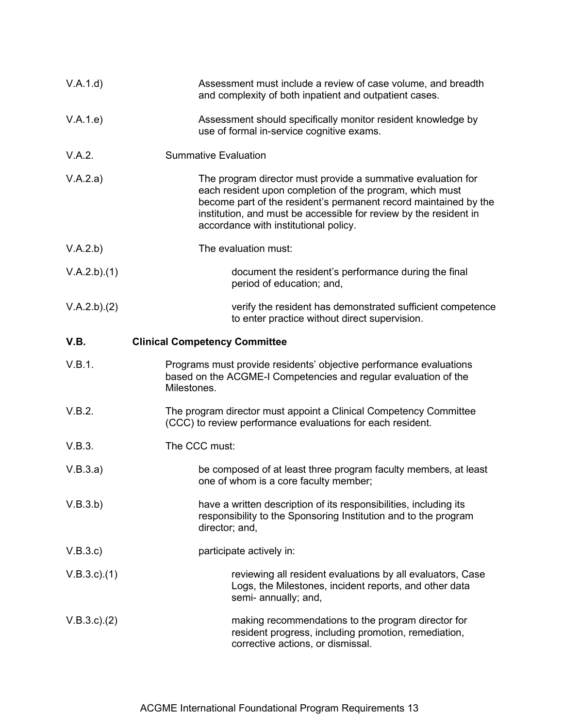| V.A.1.d)           | Assessment must include a review of case volume, and breadth<br>and complexity of both inpatient and outpatient cases.                                                                                                                                                                                     |
|--------------------|------------------------------------------------------------------------------------------------------------------------------------------------------------------------------------------------------------------------------------------------------------------------------------------------------------|
| V.A.1.e)           | Assessment should specifically monitor resident knowledge by<br>use of formal in-service cognitive exams.                                                                                                                                                                                                  |
| V.A.2.             | <b>Summative Evaluation</b>                                                                                                                                                                                                                                                                                |
| V.A.2.a)           | The program director must provide a summative evaluation for<br>each resident upon completion of the program, which must<br>become part of the resident's permanent record maintained by the<br>institution, and must be accessible for review by the resident in<br>accordance with institutional policy. |
| V.A.2.b)           | The evaluation must:                                                                                                                                                                                                                                                                                       |
| V.A.2.b)(1)        | document the resident's performance during the final<br>period of education; and,                                                                                                                                                                                                                          |
| V.A.2.b)(2)        | verify the resident has demonstrated sufficient competence<br>to enter practice without direct supervision.                                                                                                                                                                                                |
| V.B.               | <b>Clinical Competency Committee</b>                                                                                                                                                                                                                                                                       |
| V.B.1.             | Programs must provide residents' objective performance evaluations<br>based on the ACGME-I Competencies and regular evaluation of the<br>Milestones.                                                                                                                                                       |
| V.B.2.             | The program director must appoint a Clinical Competency Committee<br>(CCC) to review performance evaluations for each resident.                                                                                                                                                                            |
| V.B.3.             | The CCC must:                                                                                                                                                                                                                                                                                              |
| V.B.3.a)           | be composed of at least three program faculty members, at least<br>one of whom is a core faculty member;                                                                                                                                                                                                   |
| V.B.3.b)           | have a written description of its responsibilities, including its<br>responsibility to the Sponsoring Institution and to the program<br>director; and,                                                                                                                                                     |
| V.B.3.c)           | participate actively in:                                                                                                                                                                                                                                                                                   |
| $V.B.3.c$ ). $(1)$ | reviewing all resident evaluations by all evaluators, Case<br>Logs, the Milestones, incident reports, and other data<br>semi- annually; and,                                                                                                                                                               |
| V.B.3.c). (2)      | making recommendations to the program director for<br>resident progress, including promotion, remediation,<br>corrective actions, or dismissal.                                                                                                                                                            |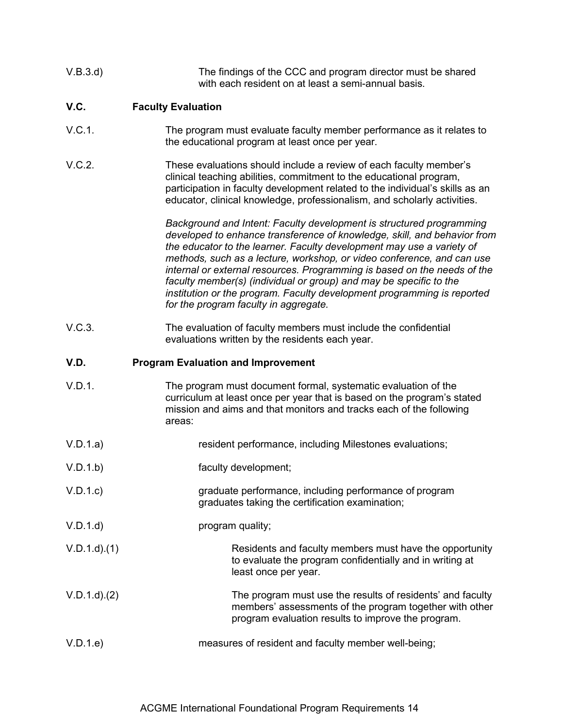| V.B.3.d) | The findings of the CCC and program director must be shared |
|----------|-------------------------------------------------------------|
|          | with each resident on at least a semi-annual basis.         |

# **V.C. Faculty Evaluation**

- V.C.1. The program must evaluate faculty member performance as it relates to the educational program at least once per year.
- V.C.2. These evaluations should include a review of each faculty member's clinical teaching abilities, commitment to the educational program, participation in faculty development related to the individual's skills as an educator, clinical knowledge, professionalism, and scholarly activities.

*Background and Intent: Faculty development is structured programming developed to enhance transference of knowledge, skill, and behavior from the educator to the learner. Faculty development may use a variety of methods, such as a lecture, workshop, or video conference, and can use internal or external resources. Programming is based on the needs of the faculty member(s) (individual or group) and may be specific to the institution or the program. Faculty development programming is reported for the program faculty in aggregate.*

V.C.3. The evaluation of faculty members must include the confidential evaluations written by the residents each year.

#### **V.D. Program Evaluation and Improvement**

- V.D.1. The program must document formal, systematic evaluation of the curriculum at least once per year that is based on the program's stated mission and aims and that monitors and tracks each of the following areas:
- V.D.1.a) resident performance, including Milestones evaluations;
- V.D.1.b) faculty development;
- V.D.1.c) graduate performance, including performance of program graduates taking the certification examination;
- V.D.1.d) program quality;
- V.D.1.d).(1) Residents and faculty members must have the opportunity to evaluate the program confidentially and in writing at least once per year.
- V.D.1.d).(2) The program must use the results of residents' and faculty members' assessments of the program together with other program evaluation results to improve the program.
- V.D.1.e) measures of resident and faculty member well-being;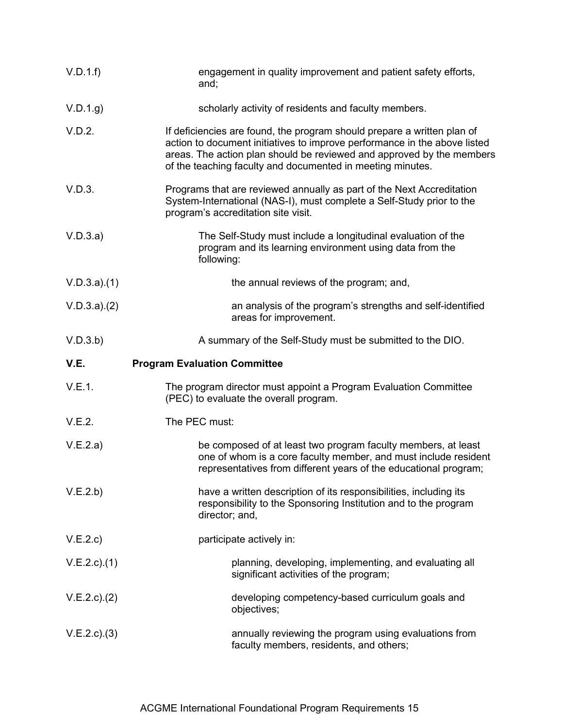| V.D.1.f            | engagement in quality improvement and patient safety efforts,<br>and;                                                                                                                                                                                                                       |
|--------------------|---------------------------------------------------------------------------------------------------------------------------------------------------------------------------------------------------------------------------------------------------------------------------------------------|
| V.D.1.g            | scholarly activity of residents and faculty members.                                                                                                                                                                                                                                        |
| V.D.2.             | If deficiencies are found, the program should prepare a written plan of<br>action to document initiatives to improve performance in the above listed<br>areas. The action plan should be reviewed and approved by the members<br>of the teaching faculty and documented in meeting minutes. |
| V.D.3.             | Programs that are reviewed annually as part of the Next Accreditation<br>System-International (NAS-I), must complete a Self-Study prior to the<br>program's accreditation site visit.                                                                                                       |
| V.D.3.a)           | The Self-Study must include a longitudinal evaluation of the<br>program and its learning environment using data from the<br>following:                                                                                                                                                      |
| V.D.3.a)(1)        | the annual reviews of the program; and,                                                                                                                                                                                                                                                     |
| V.D.3.a)(2)        | an analysis of the program's strengths and self-identified<br>areas for improvement.                                                                                                                                                                                                        |
| V.D.3.b)           | A summary of the Self-Study must be submitted to the DIO.                                                                                                                                                                                                                                   |
| V.E.               | <b>Program Evaluation Committee</b>                                                                                                                                                                                                                                                         |
|                    |                                                                                                                                                                                                                                                                                             |
| V.E.1.             | The program director must appoint a Program Evaluation Committee<br>(PEC) to evaluate the overall program.                                                                                                                                                                                  |
| V.E.2.             | The PEC must:                                                                                                                                                                                                                                                                               |
| V.E.2.a)           | be composed of at least two program faculty members, at least<br>one of whom is a core faculty member, and must include resident<br>representatives from different years of the educational program;                                                                                        |
| V.E.2.b)           | have a written description of its responsibilities, including its<br>responsibility to the Sponsoring Institution and to the program<br>director; and,                                                                                                                                      |
| V.E.2.c            | participate actively in:                                                                                                                                                                                                                                                                    |
| $V.E.2.c$ ). $(1)$ | planning, developing, implementing, and evaluating all<br>significant activities of the program;                                                                                                                                                                                            |
| $V.E.2.c$ ). $(2)$ | developing competency-based curriculum goals and<br>objectives;                                                                                                                                                                                                                             |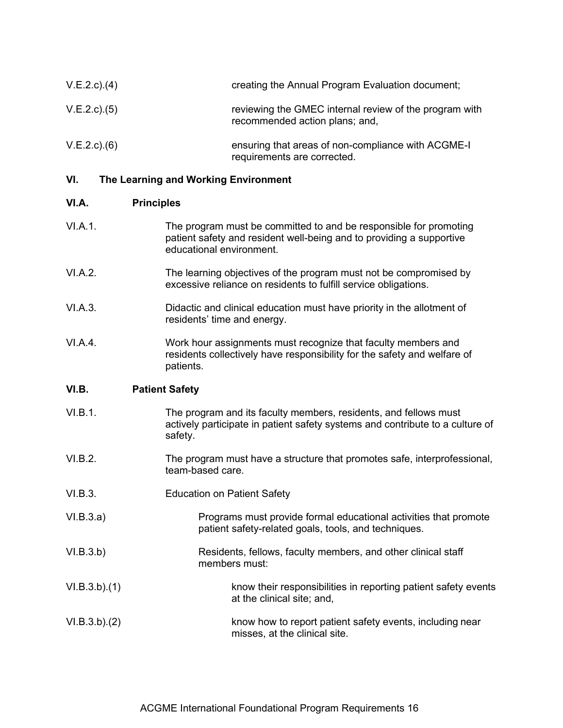| $V.E.2.c$ ). $(4)$ | creating the Annual Program Evaluation document;                                         |
|--------------------|------------------------------------------------------------------------------------------|
| $V.E.2.c$ ). $(5)$ | reviewing the GMEC internal review of the program with<br>recommended action plans; and, |
| V.E.2.c)(6)        | ensuring that areas of non-compliance with ACGME-I<br>requirements are corrected.        |

## **VI. The Learning and Working Environment**

#### **VI.A. Principles**

- VI.A.1. The program must be committed to and be responsible for promoting patient safety and resident well-being and to providing a supportive educational environment.
- VI.A.2. The learning objectives of the program must not be compromised by excessive reliance on residents to fulfill service obligations.
- VI.A.3. Didactic and clinical education must have priority in the allotment of residents' time and energy.
- VI.A.4. Work hour assignments must recognize that faculty members and residents collectively have responsibility for the safety and welfare of patients.

### **VI.B. Patient Safety**

- VI.B.1. The program and its faculty members, residents, and fellows must actively participate in patient safety systems and contribute to a culture of safety.
- VI.B.2. The program must have a structure that promotes safe, interprofessional, team-based care.
- VI.B.3. Education on Patient Safety
- VI.B.3.a) Programs must provide formal educational activities that promote patient safety-related goals, tools, and techniques.
- VI.B.3.b) Residents, fellows, faculty members, and other clinical staff members must:
- VI.B.3.b).(1) know their responsibilities in reporting patient safety events at the clinical site; and,
- VI.B.3.b).(2) know how to report patient safety events, including near misses, at the clinical site.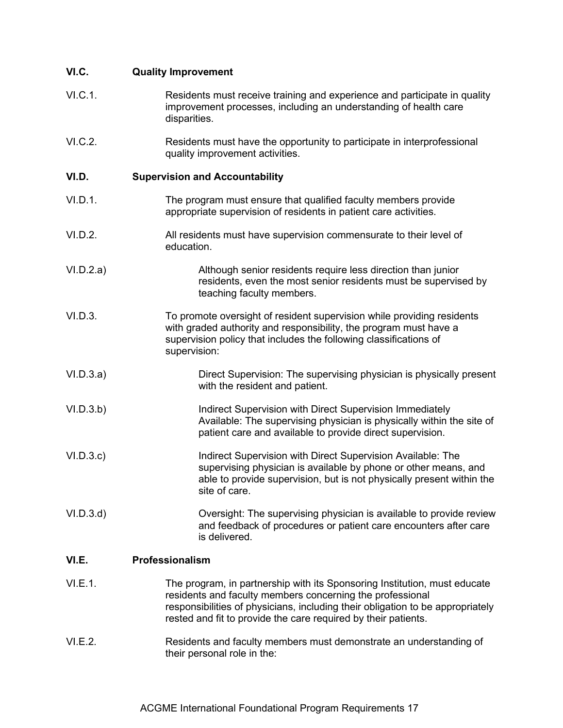| VI.C.     | <b>Quality Improvement</b>                                                                                                                                                                                                                                                                 |
|-----------|--------------------------------------------------------------------------------------------------------------------------------------------------------------------------------------------------------------------------------------------------------------------------------------------|
| VI.C.1.   | Residents must receive training and experience and participate in quality<br>improvement processes, including an understanding of health care<br>disparities.                                                                                                                              |
| VI.C.2.   | Residents must have the opportunity to participate in interprofessional<br>quality improvement activities.                                                                                                                                                                                 |
| VI.D.     | <b>Supervision and Accountability</b>                                                                                                                                                                                                                                                      |
| VI.D.1.   | The program must ensure that qualified faculty members provide<br>appropriate supervision of residents in patient care activities.                                                                                                                                                         |
| VI.D.2.   | All residents must have supervision commensurate to their level of<br>education.                                                                                                                                                                                                           |
| VI.D.2.a) | Although senior residents require less direction than junior<br>residents, even the most senior residents must be supervised by<br>teaching faculty members.                                                                                                                               |
| VI.D.3.   | To promote oversight of resident supervision while providing residents<br>with graded authority and responsibility, the program must have a<br>supervision policy that includes the following classifications of<br>supervision:                                                           |
| VI.D.3.a) | Direct Supervision: The supervising physician is physically present<br>with the resident and patient.                                                                                                                                                                                      |
| VI.D.3.b) | Indirect Supervision with Direct Supervision Immediately<br>Available: The supervising physician is physically within the site of<br>patient care and available to provide direct supervision.                                                                                             |
| VI.D.3.c  | Indirect Supervision with Direct Supervision Available: The<br>supervising physician is available by phone or other means, and<br>able to provide supervision, but is not physically present within the<br>site of care.                                                                   |
| VI.D.3.d  | Oversight: The supervising physician is available to provide review<br>and feedback of procedures or patient care encounters after care<br>is delivered.                                                                                                                                   |
| VI.E.     | Professionalism                                                                                                                                                                                                                                                                            |
| VI.E.1.   | The program, in partnership with its Sponsoring Institution, must educate<br>residents and faculty members concerning the professional<br>responsibilities of physicians, including their obligation to be appropriately<br>rested and fit to provide the care required by their patients. |
| VI.E.2.   | Residents and faculty members must demonstrate an understanding of                                                                                                                                                                                                                         |

their personal role in the: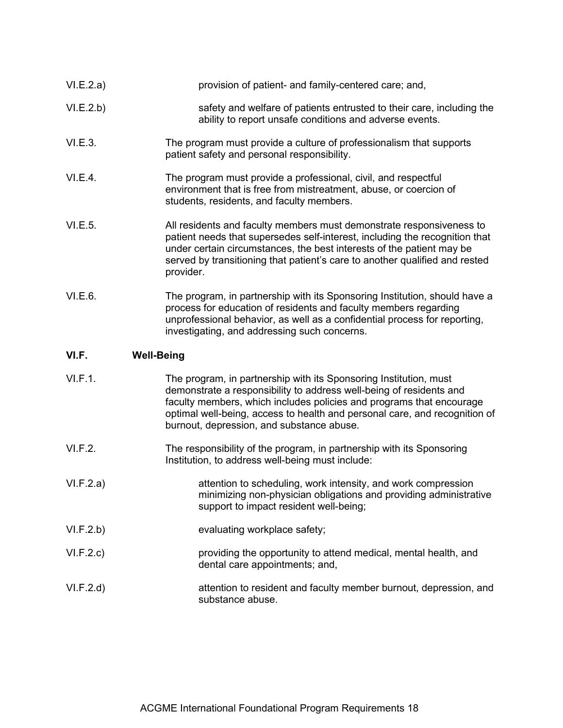| VI.E.2.a) | provision of patient- and family-centered care; and,                                                                                                                                                                                                                                                                     |
|-----------|--------------------------------------------------------------------------------------------------------------------------------------------------------------------------------------------------------------------------------------------------------------------------------------------------------------------------|
| VI.E.2.b) | safety and welfare of patients entrusted to their care, including the<br>ability to report unsafe conditions and adverse events.                                                                                                                                                                                         |
| VI.E.3.   | The program must provide a culture of professionalism that supports<br>patient safety and personal responsibility.                                                                                                                                                                                                       |
| VI.E.4.   | The program must provide a professional, civil, and respectful<br>environment that is free from mistreatment, abuse, or coercion of<br>students, residents, and faculty members.                                                                                                                                         |
| VI.E.5.   | All residents and faculty members must demonstrate responsiveness to<br>patient needs that supersedes self-interest, including the recognition that<br>under certain circumstances, the best interests of the patient may be<br>served by transitioning that patient's care to another qualified and rested<br>provider. |
| VI.E.6.   | The program, in partnership with its Sponsoring Institution, should have a<br>process for education of residents and faculty members regarding<br>unprofessional behavior, as well as a confidential process for reporting,<br>investigating, and addressing such concerns.                                              |

# **VI.F. Well-Being**

| VI.F.1.   | The program, in partnership with its Sponsoring Institution, must<br>demonstrate a responsibility to address well-being of residents and<br>faculty members, which includes policies and programs that encourage<br>optimal well-being, access to health and personal care, and recognition of<br>burnout, depression, and substance abuse. |
|-----------|---------------------------------------------------------------------------------------------------------------------------------------------------------------------------------------------------------------------------------------------------------------------------------------------------------------------------------------------|
| VI.F.2.   | The responsibility of the program, in partnership with its Sponsoring<br>Institution, to address well-being must include:                                                                                                                                                                                                                   |
| VI.F.2.a) | attention to scheduling, work intensity, and work compression<br>minimizing non-physician obligations and providing administrative<br>support to impact resident well-being;                                                                                                                                                                |
| VI.F.2.b) | evaluating workplace safety;                                                                                                                                                                                                                                                                                                                |
| VI.F.2.c) | providing the opportunity to attend medical, mental health, and<br>dental care appointments; and,                                                                                                                                                                                                                                           |
| VI.F.2.d  | attention to resident and faculty member burnout, depression, and<br>substance abuse.                                                                                                                                                                                                                                                       |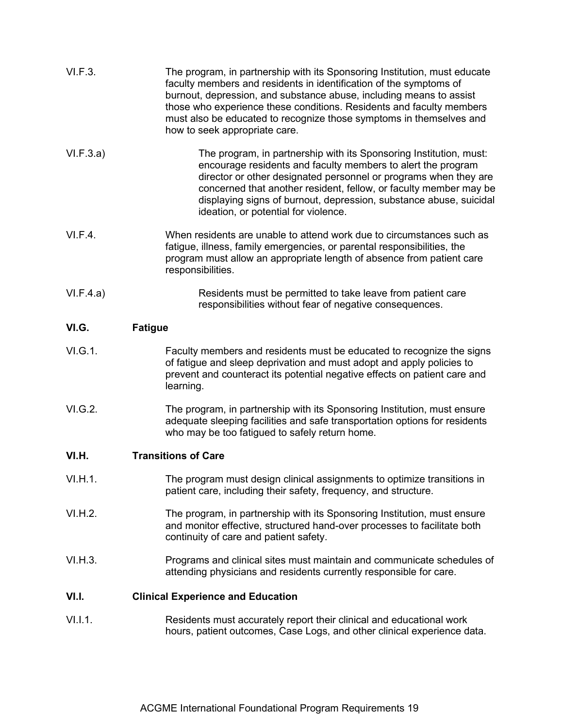| VI.F.3.   | The program, in partnership with its Sponsoring Institution, must educate<br>faculty members and residents in identification of the symptoms of<br>burnout, depression, and substance abuse, including means to assist<br>those who experience these conditions. Residents and faculty members<br>must also be educated to recognize those symptoms in themselves and<br>how to seek appropriate care. |  |
|-----------|--------------------------------------------------------------------------------------------------------------------------------------------------------------------------------------------------------------------------------------------------------------------------------------------------------------------------------------------------------------------------------------------------------|--|
| VI.F.3.a) | The program, in partnership with its Sponsoring Institution, must:<br>encourage residents and faculty members to alert the program<br>director or other designated personnel or programs when they are<br>concerned that another resident, fellow, or faculty member may be<br>displaying signs of burnout, depression, substance abuse, suicidal<br>ideation, or potential for violence.              |  |
| VI.F.4.   | When residents are unable to attend work due to circumstances such as<br>fatigue, illness, family emergencies, or parental responsibilities, the<br>program must allow an appropriate length of absence from patient care<br>responsibilities.                                                                                                                                                         |  |
| VI.F.4.a) | Residents must be permitted to take leave from patient care<br>responsibilities without fear of negative consequences.                                                                                                                                                                                                                                                                                 |  |
| VI.G.     | <b>Fatigue</b>                                                                                                                                                                                                                                                                                                                                                                                         |  |
| VI.G.1.   | Faculty members and residents must be educated to recognize the signs<br>of fatigue and sleep deprivation and must adopt and apply policies to<br>prevent and counteract its potential negative effects on patient care and<br>learning.                                                                                                                                                               |  |
| VI.G.2.   | The program, in partnership with its Sponsoring Institution, must ensure<br>adequate sleeping facilities and safe transportation options for residents<br>who may be too fatigued to safely return home.                                                                                                                                                                                               |  |
| VI.H.     | <b>Transitions of Care</b>                                                                                                                                                                                                                                                                                                                                                                             |  |
| VI.H.1.   | The program must design clinical assignments to optimize transitions in<br>patient care, including their safety, frequency, and structure.                                                                                                                                                                                                                                                             |  |
| VI.H.2.   | The program, in partnership with its Sponsoring Institution, must ensure<br>and monitor effective, structured hand-over processes to facilitate both<br>continuity of care and patient safety.                                                                                                                                                                                                         |  |
| VI.H.3.   | Programs and clinical sites must maintain and communicate schedules of<br>attending physicians and residents currently responsible for care.                                                                                                                                                                                                                                                           |  |
| VI.I.     | <b>Clinical Experience and Education</b>                                                                                                                                                                                                                                                                                                                                                               |  |
| V1.1.1.   | Residents must accurately report their clinical and educational work<br>hours, patient outcomes, Case Logs, and other clinical experience data.                                                                                                                                                                                                                                                        |  |